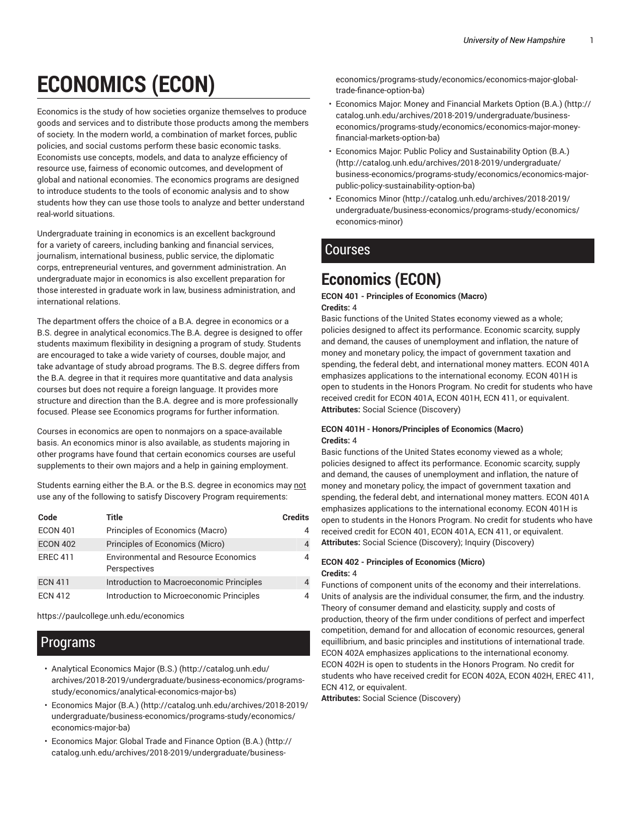# **ECONOMICS (ECON)**

Economics is the study of how societies organize themselves to produce goods and services and to distribute those products among the members of society. In the modern world, a combination of market forces, public policies, and social customs perform these basic economic tasks. Economists use concepts, models, and data to analyze efficiency of resource use, fairness of economic outcomes, and development of global and national economies. The economics programs are designed to introduce students to the tools of economic analysis and to show students how they can use those tools to analyze and better understand real-world situations.

Undergraduate training in economics is an excellent background for a variety of careers, including banking and financial services, journalism, international business, public service, the diplomatic corps, entrepreneurial ventures, and government administration. An undergraduate major in economics is also excellent preparation for those interested in graduate work in law, business administration, and international relations.

The department offers the choice of a B.A. degree in economics or a B.S. degree in analytical economics.The B.A. degree is designed to offer students maximum flexibility in designing a program of study. Students are encouraged to take a wide variety of courses, double major, and take advantage of study abroad programs. The B.S. degree differs from the B.A. degree in that it requires more quantitative and data analysis courses but does not require a foreign language. It provides more structure and direction than the B.A. degree and is more professionally focused. Please see Economics programs for further information.

Courses in economics are open to nonmajors on a space-available basis. An economics minor is also available, as students majoring in other programs have found that certain economics courses are useful supplements to their own majors and a help in gaining employment.

Students earning either the B.A. or the B.S. degree in economics may not use any of the following to satisfy Discovery Program requirements:

| Code            | Title                                                       | <b>Credits</b> |
|-----------------|-------------------------------------------------------------|----------------|
| <b>ECON 401</b> | Principles of Economics (Macro)                             | 4              |
| <b>ECON 402</b> | Principles of Economics (Micro)                             | 4              |
| <b>EREC 411</b> | <b>Environmental and Resource Economics</b><br>Perspectives | 4              |
| <b>ECN 411</b>  | Introduction to Macroeconomic Principles                    | 4              |
| <b>ECN 412</b>  | Introduction to Microeconomic Principles                    |                |

https://paulcollege.unh.edu/economics

## Programs

- Analytical Economics Major (B.S.) (http://catalog.unh.edu/ archives/2018-2019/undergraduate/business-economics/programsstudy/economics/analytical-economics-major-bs)
- Economics Major (B.A.) (http://catalog.unh.edu/archives/2018-2019/ undergraduate/business-economics/programs-study/economics/ economics-major-ba)
- Economics Major: Global Trade and Finance Option (B.A.) (http:// catalog.unh.edu/archives/2018-2019/undergraduate/business-

economics/programs-study/economics/economics-major-globaltrade-finance-option-ba)

- Economics Major: Money and Financial Markets Option (B.A.) (http:// catalog.unh.edu/archives/2018-2019/undergraduate/businesseconomics/programs-study/economics/economics-major-moneyfinancial-markets-option-ba)
- Economics Major: Public Policy and Sustainability Option (B.A.) (http://catalog.unh.edu/archives/2018-2019/undergraduate/ business-economics/programs-study/economics/economics-majorpublic-policy-sustainability-option-ba)
- Economics Minor (http://catalog.unh.edu/archives/2018-2019/ undergraduate/business-economics/programs-study/economics/ economics-minor)

## **Courses**

## **Economics (ECON)**

#### **ECON 401 - Principles of Economics (Macro) Credits:** 4

Basic functions of the United States economy viewed as a whole; policies designed to affect its performance. Economic scarcity, supply and demand, the causes of unemployment and inflation, the nature of money and monetary policy, the impact of government taxation and spending, the federal debt, and international money matters. ECON 401A emphasizes applications to the international economy. ECON 401H is open to students in the Honors Program. No credit for students who have received credit for ECON 401A, ECON 401H, ECN 411, or equivalent. **Attributes:** Social Science (Discovery)

#### **ECON 401H - Honors/Principles of Economics (Macro) Credits:** 4

Basic functions of the United States economy viewed as a whole; policies designed to affect its performance. Economic scarcity, supply and demand, the causes of unemployment and inflation, the nature of money and monetary policy, the impact of government taxation and spending, the federal debt, and international money matters. ECON 401A emphasizes applications to the international economy. ECON 401H is open to students in the Honors Program. No credit for students who have received credit for ECON 401, ECON 401A, ECN 411, or equivalent. **Attributes:** Social Science (Discovery); Inquiry (Discovery)

#### **ECON 402 - Principles of Economics (Micro) Credits:** 4

Functions of component units of the economy and their interrelations. Units of analysis are the individual consumer, the firm, and the industry. Theory of consumer demand and elasticity, supply and costs of production, theory of the firm under conditions of perfect and imperfect competition, demand for and allocation of economic resources, general equillibrium, and basic principles and institutions of international trade. ECON 402A emphasizes applications to the international economy. ECON 402H is open to students in the Honors Program. No credit for students who have received credit for ECON 402A, ECON 402H, EREC 411, ECN 412, or equivalent.

**Attributes:** Social Science (Discovery)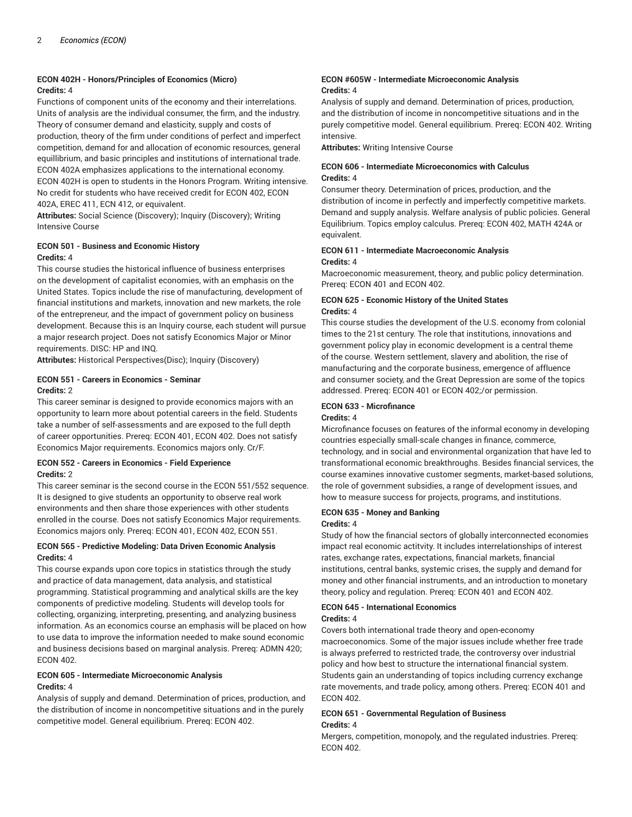#### **ECON 402H - Honors/Principles of Economics (Micro) Credits:** 4

Functions of component units of the economy and their interrelations. Units of analysis are the individual consumer, the firm, and the industry. Theory of consumer demand and elasticity, supply and costs of production, theory of the firm under conditions of perfect and imperfect competition, demand for and allocation of economic resources, general equillibrium, and basic principles and institutions of international trade. ECON 402A emphasizes applications to the international economy. ECON 402H is open to students in the Honors Program. Writing intensive. No credit for students who have received credit for ECON 402, ECON 402A, EREC 411, ECN 412, or equivalent.

**Attributes:** Social Science (Discovery); Inquiry (Discovery); Writing Intensive Course

#### **ECON 501 - Business and Economic History Credits:** 4

This course studies the historical influence of business enterprises on the development of capitalist economies, with an emphasis on the United States. Topics include the rise of manufacturing, development of financial institutions and markets, innovation and new markets, the role of the entrepreneur, and the impact of government policy on business development. Because this is an Inquiry course, each student will pursue a major research project. Does not satisfy Economics Major or Minor requirements. DISC: HP and INQ.

**Attributes:** Historical Perspectives(Disc); Inquiry (Discovery)

#### **ECON 551 - Careers in Economics - Seminar Credits:** 2

This career seminar is designed to provide economics majors with an opportunity to learn more about potential careers in the field. Students take a number of self-assessments and are exposed to the full depth of career opportunities. Prereq: ECON 401, ECON 402. Does not satisfy Economics Major requirements. Economics majors only. Cr/F.

#### **ECON 552 - Careers in Economics - Field Experience Credits:** 2

This career seminar is the second course in the ECON 551/552 sequence. It is designed to give students an opportunity to observe real work environments and then share those experiences with other students enrolled in the course. Does not satisfy Economics Major requirements. Economics majors only. Prereq: ECON 401, ECON 402, ECON 551.

#### **ECON 565 - Predictive Modeling: Data Driven Economic Analysis Credits:** 4

This course expands upon core topics in statistics through the study and practice of data management, data analysis, and statistical programming. Statistical programming and analytical skills are the key components of predictive modeling. Students will develop tools for collecting, organizing, interpreting, presenting, and analyzing business information. As an economics course an emphasis will be placed on how to use data to improve the information needed to make sound economic and business decisions based on marginal analysis. Prereq: ADMN 420; ECON 402.

#### **ECON 605 - Intermediate Microeconomic Analysis Credits:** 4

Analysis of supply and demand. Determination of prices, production, and the distribution of income in noncompetitive situations and in the purely competitive model. General equilibrium. Prereq: ECON 402.

#### **ECON #605W - Intermediate Microeconomic Analysis Credits:** 4

Analysis of supply and demand. Determination of prices, production, and the distribution of income in noncompetitive situations and in the purely competitive model. General equilibrium. Prereq: ECON 402. Writing intensive.

**Attributes:** Writing Intensive Course

#### **ECON 606 - Intermediate Microeconomics with Calculus Credits:** 4

Consumer theory. Determination of prices, production, and the distribution of income in perfectly and imperfectly competitive markets. Demand and supply analysis. Welfare analysis of public policies. General Equilibrium. Topics employ calculus. Prereq: ECON 402, MATH 424A or equivalent.

#### **ECON 611 - Intermediate Macroeconomic Analysis Credits:** 4

Macroeconomic measurement, theory, and public policy determination. Prereq: ECON 401 and ECON 402.

#### **ECON 625 - Economic History of the United States Credits:** 4

This course studies the development of the U.S. economy from colonial times to the 21st century. The role that institutions, innovations and government policy play in economic development is a central theme of the course. Western settlement, slavery and abolition, the rise of manufacturing and the corporate business, emergence of affluence and consumer society, and the Great Depression are some of the topics addressed. Prereq: ECON 401 or ECON 402;/or permission.

#### **ECON 633 - Microfinance Credits:** 4

Microfinance focuses on features of the informal economy in developing countries especially small-scale changes in finance, commerce, technology, and in social and environmental organization that have led to transformational economic breakthroughs. Besides financial services, the course examines innovative customer segments, market-based solutions, the role of government subsidies, a range of development issues, and how to measure success for projects, programs, and institutions.

#### **ECON 635 - Money and Banking**

#### **Credits:** 4

Study of how the financial sectors of globally interconnected economies impact real economic actitvity. It includes interrelationships of interest rates, exchange rates, expectations, financial markets, financial institutions, central banks, systemic crises, the supply and demand for money and other financial instruments, and an introduction to monetary theory, policy and regulation. Prereq: ECON 401 and ECON 402.

#### **ECON 645 - International Economics**

#### **Credits:** 4

Covers both international trade theory and open-economy macroeconomics. Some of the major issues include whether free trade is always preferred to restricted trade, the controversy over industrial policy and how best to structure the international financial system. Students gain an understanding of topics including currency exchange rate movements, and trade policy, among others. Prereq: ECON 401 and ECON 402.

#### **ECON 651 - Governmental Regulation of Business Credits:** 4

Mergers, competition, monopoly, and the regulated industries. Prereq: ECON 402.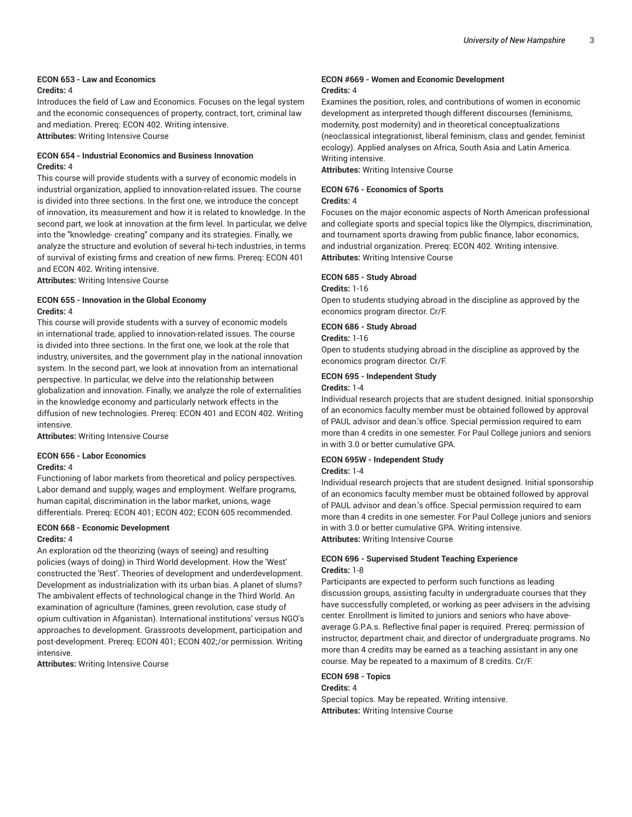#### **ECON 653 - Law and Economics Credits:** 4

Introduces the field of Law and Economics. Focuses on the legal system and the economic consequences of property, contract, tort, criminal law and mediation. Prereq: ECON 402. Writing intensive. **Attributes:** Writing Intensive Course

#### **ECON 654 - Industrial Economics and Business Innovation Credits:** 4

This course will provide students with a survey of economic models in industrial organization, applied to innovation-related issues. The course is divided into three sections. In the first one, we introduce the concept of innovation, its measurement and how it is related to knowledge. In the second part, we look at innovation at the firm level. In particular, we delve into the "knowledge- creating" company and its strategies. Finally, we analyze the structure and evolution of several hi-tech industries, in terms of survival of existing firms and creation of new firms. Prereq: ECON 401 and ECON 402. Writing intensive.

**Attributes:** Writing Intensive Course

#### **ECON 655 - Innovation in the Global Economy Credits:** 4

This course will provide students with a survey of economic models in international trade, applied to innovation-related issues. The course is divided into three sections. In the first one, we look at the role that industry, universites, and the government play in the national innovation system. In the second part, we look at innovation from an international perspective. In particular, we delve into the relationship between globalization and innovation. Finally, we analyze the role of externalities in the knowledge economy and particularly network effects in the diffusion of new technologies. Prereq: ECON 401 and ECON 402. Writing intensive.

**Attributes:** Writing Intensive Course

## **ECON 656 - Labor Economics**

#### **Credits:** 4

Functioning of labor markets from theoretical and policy perspectives. Labor demand and supply, wages and employment. Welfare programs, human capital, discrimination in the labor market, unions, wage differentials. Prereq: ECON 401; ECON 402; ECON 605 recommended.

#### **ECON 668 - Economic Development Credits:** 4

An exploration od the theorizing (ways of seeing) and resulting policies (ways of doing) in Third World development. How the 'West' constructed the 'Rest'. Theories of development and underdevelopment. Development as industrialization with its urban bias. A planet of slums? The ambivalent effects of technological change in the Third World. An examination of agriculture (famines, green revolution, case study of opium cultivation in Afganistan). International institutions' versus NGO's approaches to development. Grassroots development, participation and post-development. Prereq: ECON 401; ECON 402;/or permission. Writing intensive.

**Attributes:** Writing Intensive Course

#### **ECON #669 - Women and Economic Development Credits:** 4

Examines the position, roles, and contributions of women in economic development as interpreted though different discourses (feminisms, modernity, post modernity) and in theoretical conceptualizations (neoclassical integrationist, liberal feminism, class and gender, feminist ecology). Applied analyses on Africa, South Asia and Latin America. Writing intensive.

**Attributes:** Writing Intensive Course

### **ECON 676 - Economics of Sports**

#### **Credits:** 4

Focuses on the major economic aspects of North American professional and collegiate sports and special topics like the Olympics, discrimination, and tournament sports drawing from public finance, labor economics, and industrial organization. Prereq: ECON 402. Writing intensive. **Attributes:** Writing Intensive Course

#### **ECON 685 - Study Abroad**

#### **Credits:** 1-16

Open to students studying abroad in the discipline as approved by the economics program director. Cr/F.

#### **ECON 686 - Study Abroad**

#### **Credits:** 1-16

Open to students studying abroad in the discipline as approved by the economics program director. Cr/F.

#### **ECON 695 - Independent Study**

#### **Credits:** 1-4

Individual research projects that are student designed. Initial sponsorship of an economics faculty member must be obtained followed by approval of PAUL advisor and dean.'s office. Special permission required to earn more than 4 credits in one semester. For Paul College juniors and seniors in with 3.0 or better cumulative GPA.

## **ECON 695W - Independent Study**

#### **Credits:** 1-4

Individual research projects that are student designed. Initial sponsorship of an economics faculty member must be obtained followed by approval of PAUL advisor and dean.'s office. Special permission required to earn more than 4 credits in one semester. For Paul College juniors and seniors in with 3.0 or better cumulative GPA. Writing intensive. **Attributes:** Writing Intensive Course

#### **ECON 696 - Supervised Student Teaching Experience Credits:** 1-8

Participants are expected to perform such functions as leading discussion groups, assisting faculty in undergraduate courses that they have successfully completed, or working as peer advisers in the advising center. Enrollment is limited to juniors and seniors who have aboveaverage G.P.A.s. Reflective final paper is required. Prereq: permission of instructor, department chair, and director of undergraduate programs. No more than 4 credits may be earned as a teaching assistant in any one course. May be repeated to a maximum of 8 credits. Cr/F.

#### **ECON 698 - Topics**

#### **Credits:** 4

Special topics. May be repeated. Writing intensive. **Attributes:** Writing Intensive Course